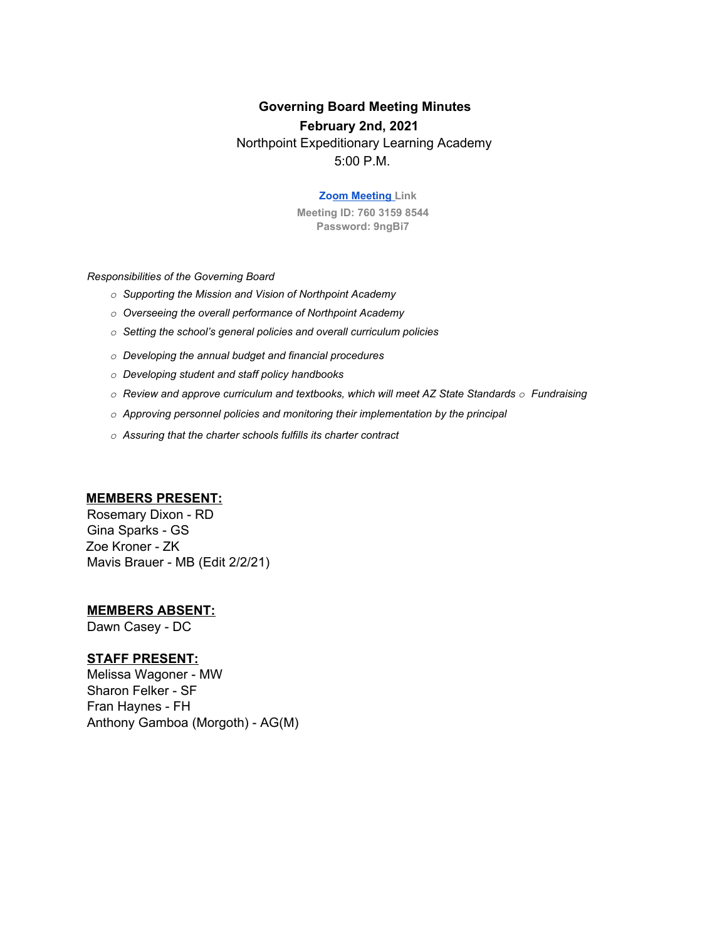# **Governing Board Meeting Minutes**

#### **February 2nd, 2021**

Northpoint Expeditionary Learning Academy 5:00 P.M.

#### **Zoom Meeting Link**

**Meeting ID: 760 3159 8544 Password: 9ngBi7**

*Responsibilities of the Governing Board*

- *o Supporting the Mission and Vision of Northpoint Academy*
- *o Overseeing the overall performance of Northpoint Academy*
- *o Setting the school's general policies and overall curriculum policies*
- *o Developing the annual budget and financial procedures*
- *o Developing student and staff policy handbooks*
- *o Review and approve curriculum and textbooks, which will meet AZ State Standards o Fundraising*
- *o Approving personnel policies and monitoring their implementation by the principal*
- *o Assuring that the charter schools fulfills its charter contract*

#### **MEMBERS PRESENT:**

Rosemary Dixon - RD Gina Sparks - GS Zoe Kroner - ZK Mavis Brauer - MB (Edit 2/2/21)

#### **MEMBERS ABSENT:**

Dawn Casey - DC

#### **STAFF PRESENT:**

Melissa Wagoner - MW Sharon Felker - SF Fran Haynes - FH Anthony Gamboa (Morgoth) - AG(M)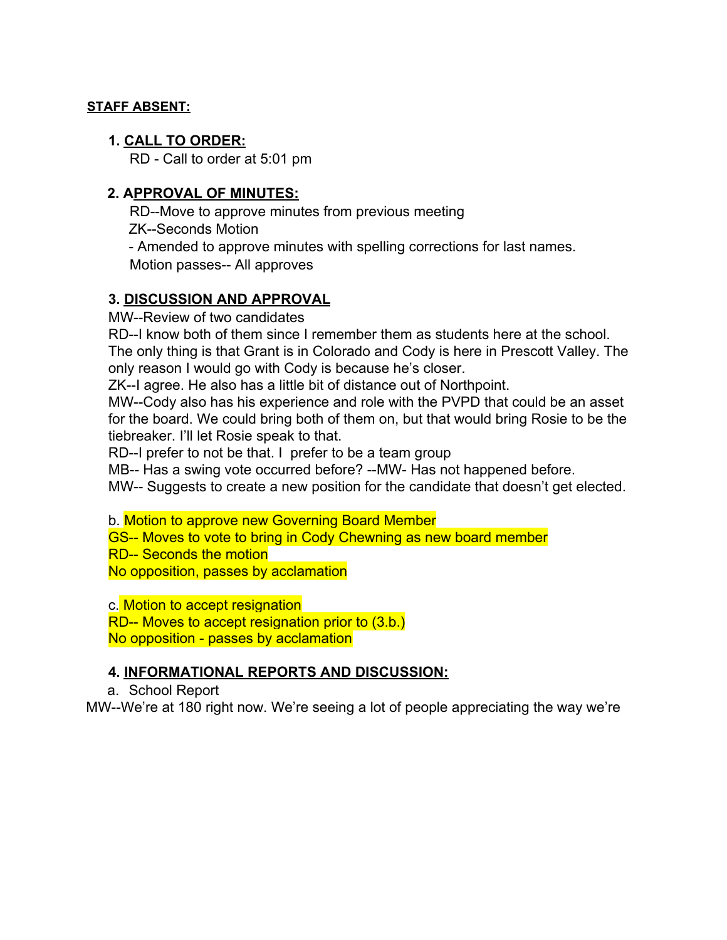### **STAFF ABSENT:**

### **1. CALL TO ORDER:**

RD - Call to order at 5:01 pm

### **2. APPROVAL OF MINUTES:**

RD--Move to approve minutes from previous meeting ZK--Seconds Motion

- Amended to approve minutes with spelling corrections for last names. Motion passes-- All approves

### **3. DISCUSSION AND APPROVAL**

MW--Review of two candidates

RD--I know both of them since I remember them as students here at the school. The only thing is that Grant is in Colorado and Cody is here in Prescott Valley. The only reason I would go with Cody is because he's closer.

ZK--I agree. He also has a little bit of distance out of Northpoint.

MW--Cody also has his experience and role with the PVPD that could be an asset for the board. We could bring both of them on, but that would bring Rosie to be the tiebreaker. I'll let Rosie speak to that.

RD--I prefer to not be that. I prefer to be a team group

MB-- Has a swing vote occurred before? --MW- Has not happened before.

MW-- Suggests to create a new position for the candidate that doesn't get elected.

b. Motion to approve new Governing Board Member

GS-- Moves to vote to bring in Cody Chewning as new board member

RD-- Seconds the motion

No opposition, passes by acclamation

c. Motion to accept resignation

RD-- Moves to accept resignation prior to (3.b.) No opposition - passes by acclamation

### **4. INFORMATIONAL REPORTS AND DISCUSSION:**

a. School Report

MW--We're at 180 right now. We're seeing a lot of people appreciating the way we're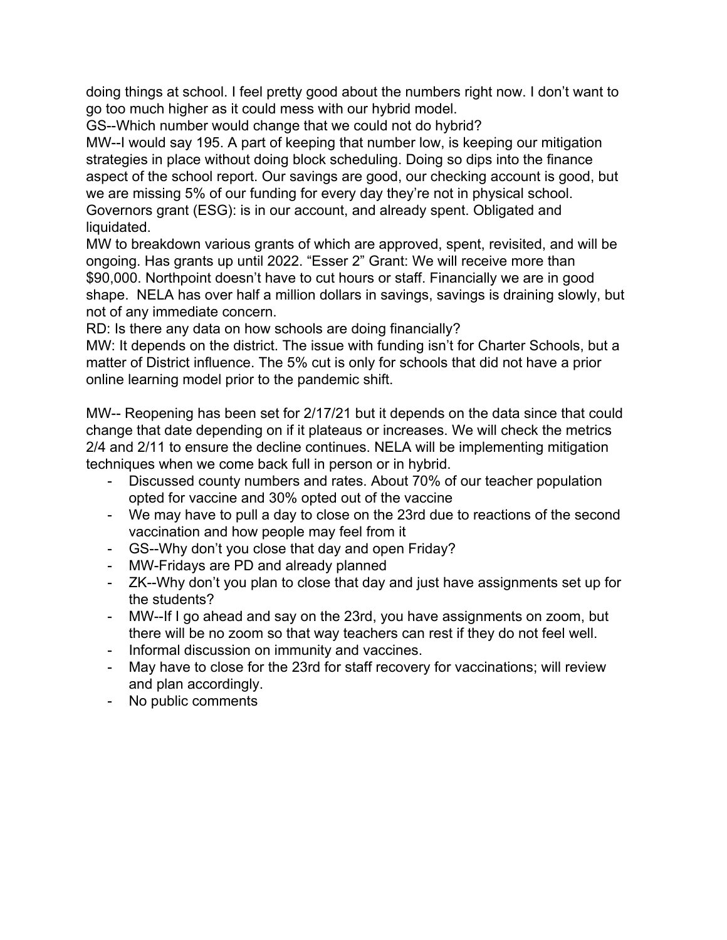doing things at school. I feel pretty good about the numbers right now. I don't want to go too much higher as it could mess with our hybrid model.

GS--Which number would change that we could not do hybrid?

MW--I would say 195. A part of keeping that number low, is keeping our mitigation strategies in place without doing block scheduling. Doing so dips into the finance aspect of the school report. Our savings are good, our checking account is good, but we are missing 5% of our funding for every day they're not in physical school. Governors grant (ESG): is in our account, and already spent. Obligated and liquidated.

MW to breakdown various grants of which are approved, spent, revisited, and will be ongoing. Has grants up until 2022. "Esser 2" Grant: We will receive more than \$90,000. Northpoint doesn't have to cut hours or staff. Financially we are in good shape. NELA has over half a million dollars in savings, savings is draining slowly, but not of any immediate concern.

RD: Is there any data on how schools are doing financially?

MW: It depends on the district. The issue with funding isn't for Charter Schools, but a matter of District influence. The 5% cut is only for schools that did not have a prior online learning model prior to the pandemic shift.

MW-- Reopening has been set for 2/17/21 but it depends on the data since that could change that date depending on if it plateaus or increases. We will check the metrics 2/4 and 2/11 to ensure the decline continues. NELA will be implementing mitigation techniques when we come back full in person or in hybrid.

- Discussed county numbers and rates. About 70% of our teacher population opted for vaccine and 30% opted out of the vaccine
- We may have to pull a day to close on the 23rd due to reactions of the second vaccination and how people may feel from it
- GS--Why don't you close that day and open Friday?
- MW-Fridays are PD and already planned
- ZK--Why don't you plan to close that day and just have assignments set up for the students?
- MW--If I go ahead and say on the 23rd, you have assignments on zoom, but there will be no zoom so that way teachers can rest if they do not feel well.
- Informal discussion on immunity and vaccines.
- May have to close for the 23rd for staff recovery for vaccinations; will review and plan accordingly.
- No public comments